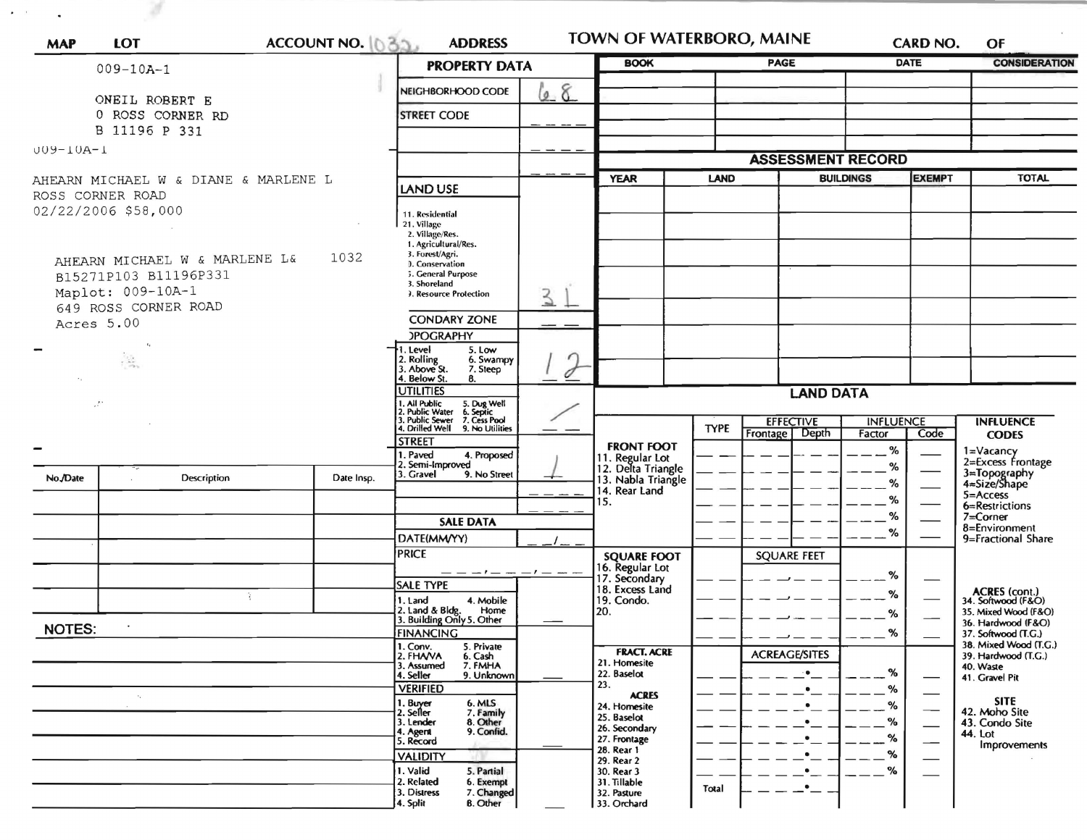| <b>MAP</b>                                               | <b>LOT</b>                         | ACCOUNT NO. 035.                                                                                | <b>ADDRESS</b>                                               |                      | TOWN OF WATERBORO, MAINE<br><b>BOOK</b>                   |                                              |                                    | CARD NO.<br>OF           |                          |                                              |
|----------------------------------------------------------|------------------------------------|-------------------------------------------------------------------------------------------------|--------------------------------------------------------------|----------------------|-----------------------------------------------------------|----------------------------------------------|------------------------------------|--------------------------|--------------------------|----------------------------------------------|
|                                                          | $009 - 10A - 1$                    |                                                                                                 |                                                              | <b>PROPERTY DATA</b> |                                                           |                                              | <b>PAGE</b>                        |                          | <b>DATE</b>              | <b>CONSIDERATION</b>                         |
|                                                          |                                    |                                                                                                 | NEIGHBORHOOD CODE                                            | l <u>e</u> 8         |                                                           |                                              |                                    |                          |                          |                                              |
|                                                          | ONEIL ROBERT E<br>0 ROSS CORNER RD |                                                                                                 | <b>STREET CODE</b>                                           |                      |                                                           |                                              |                                    |                          |                          |                                              |
|                                                          | B 11196 P 331                      |                                                                                                 |                                                              |                      |                                                           |                                              |                                    |                          |                          |                                              |
| $UU9 - IUA - I$                                          |                                    |                                                                                                 |                                                              |                      |                                                           |                                              |                                    |                          |                          |                                              |
|                                                          |                                    |                                                                                                 |                                                              |                      |                                                           |                                              |                                    | <b>ASSESSMENT RECORD</b> |                          |                                              |
| AHEARN MICHAEL W & DIANE & MARLENE L<br>ROSS CORNER ROAD |                                    |                                                                                                 | <b>LAND USE</b>                                              |                      | <b>YEAR</b>                                               | LAND                                         |                                    | <b>BUILDINGS</b>         | <b>EXEMPT</b>            | <b>TOTAL</b>                                 |
|                                                          | 02/22/2006 \$58,000                |                                                                                                 |                                                              |                      |                                                           |                                              |                                    |                          |                          |                                              |
|                                                          |                                    |                                                                                                 | 11. Residential<br>21. Village                               |                      |                                                           |                                              |                                    |                          |                          |                                              |
|                                                          |                                    |                                                                                                 | 2. Village/Res.<br>1. Agricultural/Res.                      |                      |                                                           |                                              |                                    |                          |                          |                                              |
|                                                          | AHEARN MICHAEL W & MARLENE L&      | 1032                                                                                            | 3. Forest/Agri.<br><b>J.</b> Conservation                    |                      |                                                           |                                              |                                    |                          |                          |                                              |
|                                                          | B15271P103 B11196P331              |                                                                                                 | 5. General Purpose<br>3. Shoreland                           |                      |                                                           |                                              |                                    |                          |                          |                                              |
|                                                          | Maplot: 009-10A-1                  |                                                                                                 | 3. Resource Protection                                       | 3                    |                                                           |                                              |                                    |                          |                          |                                              |
|                                                          | 649 ROSS CORNER ROAD<br>Acres 5.00 |                                                                                                 | <b>CONDARY ZONE</b>                                          |                      |                                                           |                                              |                                    |                          |                          |                                              |
|                                                          |                                    |                                                                                                 | <b>POGRAPHY</b>                                              |                      |                                                           |                                              |                                    |                          |                          |                                              |
|                                                          | $\frac{1}{2}$                      |                                                                                                 | 1. Level<br>5. Low<br>6. Swampy                              |                      |                                                           |                                              |                                    |                          |                          |                                              |
|                                                          |                                    |                                                                                                 | 2. Rolling<br>3. Above St.<br>7. Steep<br>4. Below St.<br>8. | 0                    |                                                           |                                              |                                    |                          |                          |                                              |
| $\cdot$ .                                                |                                    | <b>UTILITIES</b>                                                                                |                                                              | <b>LAND DATA</b>     |                                                           |                                              |                                    |                          |                          |                                              |
|                                                          |                                    | I. All Public<br>!. Public Water<br>!. Public Sewer<br>5. Dug Well<br>6. Septic<br>7. Cess Pool |                                                              |                      |                                                           |                                              |                                    |                          |                          |                                              |
|                                                          |                                    | I. Drilled Well<br>9. No Utilities                                                              |                                                              |                      | <b>TYPE</b>                                               | <b>EFFECTIVE</b><br><b>Frontage</b><br>Depth | <b>INFLUENCE</b><br>Code<br>Factor |                          | <b>INFLUENCE</b>         |                                              |
|                                                          |                                    |                                                                                                 | <b>STREET</b>                                                |                      | <b>FRONT FOOT</b>                                         |                                              |                                    | %                        |                          | <b>CODES</b>                                 |
|                                                          |                                    |                                                                                                 | I. Paved<br>4. Proposed<br>2. Semi-Improved                  |                      | 11. Regular Lot                                           |                                              |                                    | %                        |                          | 1=Vacancy<br>2=Excess Frontage               |
|                                                          | Description                        | Date Insp.                                                                                      | 3. Gravel<br>9. No Street                                    |                      | 12. Delta Triangle<br>13. Nabla Triangle<br>14. Rear Land |                                              |                                    | %                        |                          | 3=Topography<br>4=Size/Shape                 |
|                                                          |                                    |                                                                                                 |                                                              |                      | 15.                                                       |                                              |                                    | %                        |                          | 5=Access<br>6=Restrictions                   |
|                                                          |                                    |                                                                                                 | <b>SALE DATA</b>                                             |                      |                                                           |                                              |                                    | %                        |                          | $7 =$ Corner<br>8=Environment                |
|                                                          |                                    |                                                                                                 | DATE(MM/YY)                                                  |                      |                                                           |                                              |                                    | $\%$                     |                          | 9=Fractional Share                           |
|                                                          |                                    |                                                                                                 | <b>PRICE</b>                                                 |                      | <b>SQUARE FOOT</b>                                        |                                              | <b>SQUARE FEET</b>                 |                          |                          |                                              |
|                                                          |                                    |                                                                                                 | $-- -1- -1- - -$<br><b>SALE TYPE</b>                         |                      | 16. Regular Lot<br>17. Secondary                          |                                              |                                    | %                        | –                        |                                              |
|                                                          | ÷                                  |                                                                                                 | 4. Mobile<br>1. Land                                         |                      | 18. Excess Land<br>19. Condo.                             |                                              |                                    | %                        |                          | ACRES (cont.)<br>34. Softwood (F&O)          |
|                                                          |                                    |                                                                                                 | 2. Land & Bldg.<br>Home<br>3. Building Only 5. Other         |                      | 20.                                                       |                                              |                                    | %                        |                          | 35. Mixed Wood (F&O)<br>36. Hardwood (F&O)   |
| <b>NOTES:</b>                                            |                                    |                                                                                                 | <b>FINANCING</b>                                             |                      |                                                           |                                              |                                    | %                        |                          | 37. Softwood (T.G.)                          |
|                                                          |                                    |                                                                                                 | 1. Conv.<br>5. Private<br>2. FHAVA<br>6. Cash<br>7. FMHA     |                      | <b>FRACT. ACRE</b>                                        |                                              | <b>ACREAGE/SITES</b>               |                          |                          | 38. Mixed Wood (T.G.)<br>39. Hardwood (T.G.) |
|                                                          |                                    |                                                                                                 | 3. Assumed<br>9. Unknown<br>4. Seller                        |                      | 21. Homesite<br>22. Baselot                               |                                              | $\cdot$                            | %                        |                          | 40. Waste<br>41. Gravel Pit                  |
|                                                          | $\epsilon_{\rm s}$                 |                                                                                                 | <b>VERIFIED</b>                                              |                      | 23.<br><b>ACRES</b>                                       |                                              | $\bullet$                          | %                        |                          |                                              |
|                                                          |                                    |                                                                                                 | 1. Buyer<br>2. Seller<br>6. MLS<br>7. Family                 |                      | 24. Homesite                                              |                                              | $\bullet$                          | %                        |                          | <b>SITE</b><br>42. Moho Site                 |
|                                                          |                                    |                                                                                                 | 8. Other<br>3. Lender<br>9. Confid.<br>4. Agent              |                      | 25. Baselot<br>26. Secondary                              |                                              | $\bullet$                          | $\%$                     |                          | 43. Condo Site<br>44. Lot                    |
|                                                          |                                    |                                                                                                 | 5. Record                                                    |                      | 27. Frontage<br>28. Rear 1                                |                                              | $\bullet$                          | $\%$                     | $\overline{\phantom{0}}$ | Improvements                                 |
|                                                          |                                    |                                                                                                 | <b>VALIDITY</b><br>1. Valid<br>5. Partial                    |                      | 29. Rear 2<br>30. Rear 3                                  |                                              | $\bullet$<br>$\bullet$             | %<br>%                   | $\overline{\phantom{0}}$ |                                              |
|                                                          |                                    |                                                                                                 | 2. Related<br>6. Exempt                                      |                      | 31. Tillable                                              | Total                                        | $\cdot$                            |                          |                          |                                              |
|                                                          |                                    |                                                                                                 | 3. Distress<br>7. Changed<br><b>B.</b> Other<br>4. Split     |                      | 32. Pasture<br>33. Orchard                                |                                              |                                    |                          |                          |                                              |